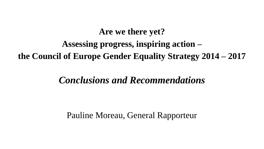# **Are we there yet? Assessing progress, inspiring action – the Council of Europe Gender Equality Strategy 2014 – 2017**

# *Conclusions and Recommendations*

Pauline Moreau, General Rapporteur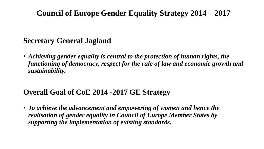## **Council of Europe Gender Equality Strategy 2014 – 2017**

### **Secretary General Jagland**

• *Achieving gender equality is central to the protection of human rights, the functioning of democracy, respect for the rule of law and economic growth and sustainability.*

## **Overall Goal of CoE 2014 -2017 GE Strategy**

• *To achieve the advancement and empowering of women and hence the realisation of gender equality in Council of Europe Member States by supporting the implementation of existing standards.*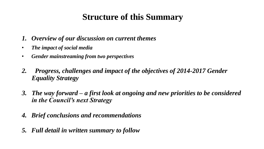# **Structure of this Summary**

- *1. Overview of our discussion on current themes*
- *The impact of social media*
- *Gender mainstreaming from two perspectives*
- *2. Progress, challenges and impact of the objectives of 2014-2017 Gender Equality Strategy*
- *3. The way forward – a first look at ongoing and new priorities to be considered in the Council's next Strategy*
- *4. Brief conclusions and recommendations*
- *5. Full detail in written summary to follow*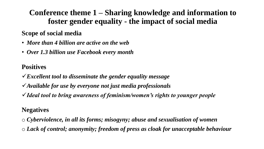## **Conference theme 1 – Sharing knowledge and information to foster gender equality - the impact of social media**

#### **Scope of social media**

- *More than 4 billion are active on the web*
- *Over 1.3 billion use Facebook every month*

#### **Positives**

*Excellent tool to disseminate the gender equality message*

- *Available for use by everyone not just media professionals*
- *Ideal tool to bring awareness of feminism/women's rights to younger people*

#### **Negatives**

o *Cyberviolence, in all its forms; misogyny; abuse and sexualisation of women* o *Lack of control; anonymity; freedom of press as cloak for unacceptable behaviour*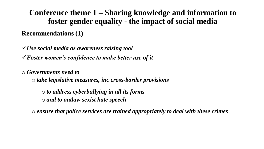**Conference theme 1 – Sharing knowledge and information to foster gender equality - the impact of social media Recommendations (1)**

*Use social media as awareness raising tool Foster women's confidence to make better use of it*

o *Governments need to* 

o *take legislative measures, inc cross-border provisions* 

o *to address cyberbullying in all its forms*  o *and to outlaw sexist hate speech*

o *ensure that police services are trained appropriately to deal with these crimes*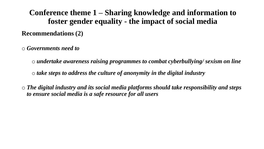**Conference theme 1 – Sharing knowledge and information to foster gender equality - the impact of social media Recommendations (2)**

o *Governments need to* 

o *undertake awareness raising programmes to combat cyberbullying/ sexism on line* o *take steps to address the culture of anonymity in the digital industry*

o *The digital industry and its social media platforms should take responsibility and steps to ensure social media is a safe resource for all users*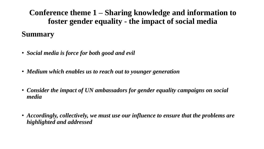**Conference theme 1 – Sharing knowledge and information to foster gender equality - the impact of social media**

### **Summary**

- *Social media is force for both good and evil*
- *Medium which enables us to reach out to younger generation*
- *Consider the impact of UN ambassadors for gender equality campaigns on social media*
- *Accordingly, collectively, we must use our influence to ensure that the problems are highlighted and addressed*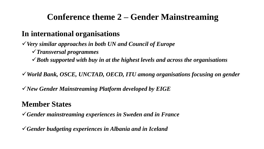### **In international organisations**

*Very similar approaches in both UN and Council of Europe*

*Transversal programmes*

*Both supported with buy in at the highest levels and across the organisations*

*World Bank, OSCE, UNCTAD, OECD, ITU among organisations focusing on gender*

*New Gender Mainstreaming Platform developed by EIGE* 

## **Member States**

*Gender mainstreaming experiences in Sweden and in France* 

*Gender budgeting experiences in Albania and in Iceland*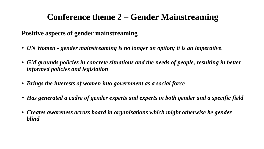#### **Positive aspects of gender mainstreaming**

- *UN Women - gender mainstreaming is no longer an option; it is an imperative.*
- *GM grounds policies in concrete situations and the needs of people, resulting in better informed policies and legislation*
- *Brings the interests of women into government as a social force*
- *Has generated a cadre of gender experts and experts in both gender and a specific field*
- *Creates awareness across board in organisations which might otherwise be gender blind*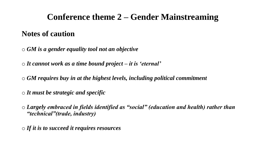### **Notes of caution**

o *GM is a gender equality tool not an objective*

o *It cannot work as a time bound project – it is 'eternal'*

o *GM requires buy in at the highest levels, including political commitment*

o *It must be strategic and specific*

o *Largely embraced in fields identified as "social" (education and health) rather than "technical"(trade, industry)*

o *If it is to succeed it requires resources*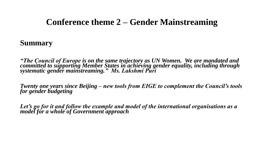#### **Summary**

*"The Council of Europe is on the same trajectory as UN Women. We are mandated and committed to supporting Member States in achieving gender equality, including through systematic gender mainstreaming." Ms. Lakshmi Puri*

*Twenty one years since Beijing – new tools from EIGE to complement the Council's tools for gender budgeting* 

*Let's go for it and follow the example and model of the international organisations as a model for a whole of Government approach*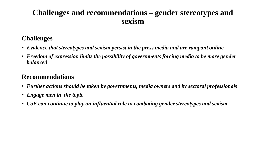### **Challenges and recommendations – gender stereotypes and sexism**

#### **Challenges**

- *Evidence that stereotypes and sexism persist in the press media and are rampant online*
- *Freedom of expression limits the possibility of governments forcing media to be more gender balanced*

#### **Recommendations**

- *Further actions should be taken by governments, media owners and by sectoral professionals*
- *Engage men in the topic*
- *CoE can continue to play an influential role in combating gender stereotypes and sexism*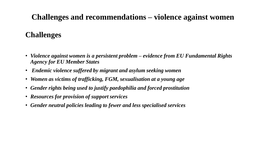## **Challenges and recommendations – violence against women**

### **Challenges**

- *Violence against women is a persistent problem – evidence from EU Fundamental Rights Agency for EU Member States*
- *Endemic violence suffered by migrant and asylum seeking women*
- *Women as victims of trafficking, FGM, sexualisation at a young age*
- *Gender rights being used to justify paedophilia and forced prostitution*
- *Resources for provision of support services*
- *Gender neutral policies leading to fewer and less specialised services*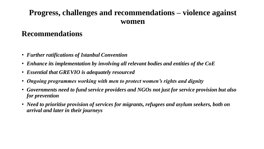### **Progress, challenges and recommendations – violence against women**

### **Recommendations**

- *Further ratifications of Istanbul Convention*
- *Enhance its implementation by involving all relevant bodies and entities of the CoE*
- *Essential that GREVIO is adequately resourced*
- *Ongoing programmes working with men to protect women's rights and dignity*
- *Governments need to fund service providers and NGOs not just for service provision but also for prevention*
- *Need to prioritise provision of services for migrants, refugees and asylum seekers, both on arrival and later in their journeys*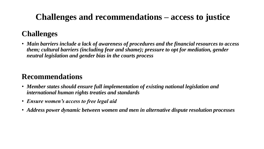# **Challenges and recommendations – access to justice**

## **Challenges**

• *Main barriers include a lack of awareness of procedures and the financial resources to access them; cultural barriers (including fear and shame); pressure to opt for mediation, gender neutral legislation and gender bias in the courts process*

## **Recommendations**

- *Member states should ensure full implementation of existing national legislation and international human rights treaties and standards*
- *Ensure women's access to free legal aid*
- *Address power dynamic between women and men in alternative dispute resolution processes*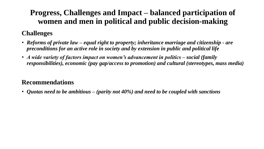## **Progress, Challenges and Impact – balanced participation of women and men in political and public decision-making**

#### **Challenges**

- *Reforms of private law – equal right to property; inheritance marriage and citizenship - are preconditions for an active role in society and by extension in public and political life*
- *A wide variety of factors impact on women's advancement in politics – social (family responsibilities), economic (pay gap/access to promotion) and cultural (stereotypes, mass media)*

#### **Recommendations**

• *Quotas need to be ambitious – (parity not 40%) and need to be coupled with sanctions*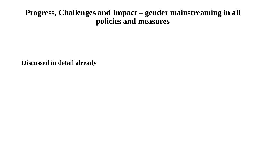### **Progress, Challenges and Impact – gender mainstreaming in all policies and measures**

**Discussed in detail already**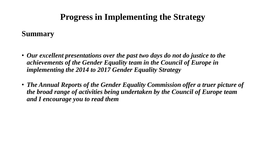# **Progress in Implementing the Strategy**

#### **Summary**

- *Our excellent presentations over the past two days do not do justice to the achievements of the Gender Equality team in the Council of Europe in implementing the 2014 to 2017 Gender Equality Strategy*
- *The Annual Reports of the Gender Equality Commission offer a truer picture of the broad range of activities being undertaken by the Council of Europe team and I encourage you to read them*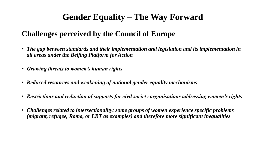# **Gender Equality – The Way Forward**

## **Challenges perceived by the Council of Europe**

- *The gap between standards and their implementation and legislation and its implementation in all areas under the Beijing Platform for Action*
- *Growing threats to women's human rights*
- *Reduced resources and weakening of national gender equality mechanisms*
- *Restrictions and reduction of supports for civil society organisations addressing women's rights*
- *Challenges related to intersectionality: some groups of women experience specific problems (migrant, refugee, Roma, or LBT as examples) and therefore more significant inequalities*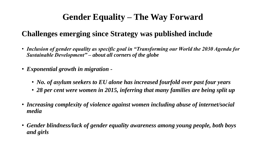# **Gender Equality – The Way Forward**

## **Challenges emerging since Strategy was published include**

- *Inclusion of gender equality as specific goal in "Transforming our World the 2030 Agenda for Sustainable Development" – about all corners of the globe*
- *Exponential growth in migration -*
	- *No. of asylum seekers to EU alone has increased fourfold over past four years*
	- *28 per cent were women in 2015, inferring that many families are being split up*
- *Increasing complexity of violence against women including abuse of internet/social media*
- *Gender blindness/lack of gender equality awareness among young people, both boys and girls*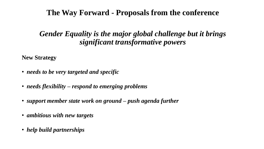### **The Way Forward - Proposals from the conference**

### *Gender Equality is the major global challenge but it brings significant transformative powers*

**New Strategy**

- *needs to be very targeted and specific*
- *needs flexibility – respond to emerging problems*
- *support member state work on ground – push agenda further*
- *ambitious with new targets*
- *help build partnerships*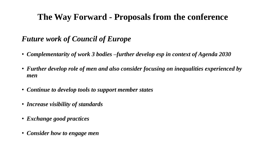# **The Way Forward - Proposals from the conference**

## *Future work of Council of Europe*

- *Complementarity of work 3 bodies –further develop esp in context of Agenda 2030*
- *Further develop role of men and also consider focusing on inequalities experienced by men*
- *Continue to develop tools to support member states*
- *Increase visibility of standards*
- *Exchange good practices*
- *Consider how to engage men*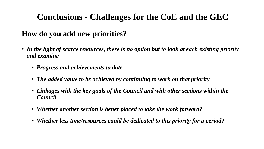# **Conclusions - Challenges for the CoE and the GEC**

## **How do you add new priorities?**

- In the light of scarce resources, there is no option but to look at each existing priority *and examine* 
	- *Progress and achievements to date*
	- *The added value to be achieved by continuing to work on that priority*
	- *Linkages with the key goals of the Council and with other sections within the Council*
	- *Whether another section is better placed to take the work forward?*
	- *Whether less time/resources could be dedicated to this priority for a period?*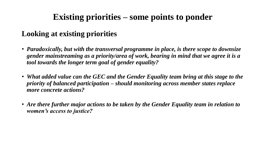# **Existing priorities – some points to ponder**

## **Looking at existing priorities**

- *Paradoxically, but with the transversal programme in place, is there scope to downsize gender mainstreaming as a priority/area of work, bearing in mind that we agree it is a tool towards the longer term goal of gender equality?*
- *What added value can the GEC and the Gender Equality team bring at this stage to the priority of balanced participation – should monitoring across member states replace more concrete actions?*
- *Are there further major actions to be taken by the Gender Equality team in relation to women's access to justice?*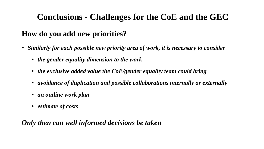# **Conclusions - Challenges for the CoE and the GEC**

## **How do you add new priorities?**

- *Similarly for each possible new priority area of work, it is necessary to consider*
	- *the gender equality dimension to the work*
	- *the exclusive added value the CoE/gender equality team could bring*
	- *avoidance of duplication and possible collaborations internally or externally*
	- *an outline work plan*
	- *estimate of costs*

#### *Only then can well informed decisions be taken*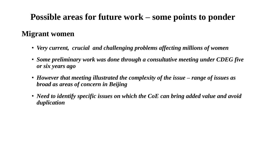# **Possible areas for future work – some points to ponder**

### **Migrant women**

- *Very current, crucial and challenging problems affecting millions of women*
- *Some preliminary work was done through a consultative meeting under CDEG five or six years ago*
- *However that meeting illustrated the complexity of the issue – range of issues as broad as areas of concern in Beijing*
- *Need to identify specific issues on which the CoE can bring added value and avoid duplication*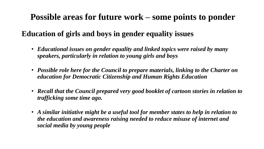## **Possible areas for future work – some points to ponder**

### **Education of girls and boys in gender equality issues**

- *Educational issues on gender equality and linked topics were raised by many speakers, particularly in relation to young girls and boys*
- *Possible role here for the Council to prepare materials, linking to the Charter on education for Democratic Citizenship and Human Rights Education*
- *Recall that the Council prepared very good booklet of cartoon stories in relation to trafficking some time ago.*
- *A similar initiative might be a useful tool for member states to help in relation to the education and awareness raising needed to reduce misuse of internet and social media by young people*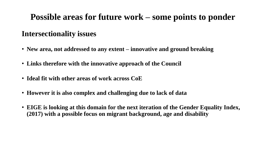# **Possible areas for future work – some points to ponder**

### **Intersectionality issues**

- **New area, not addressed to any extent – innovative and ground breaking**
- **Links therefore with the innovative approach of the Council**
- **Ideal fit with other areas of work across CoE**
- **However it is also complex and challenging due to lack of data**
- **EIGE is looking at this domain for the next iteration of the Gender Equality Index, (2017) with a possible focus on migrant background, age and disability**